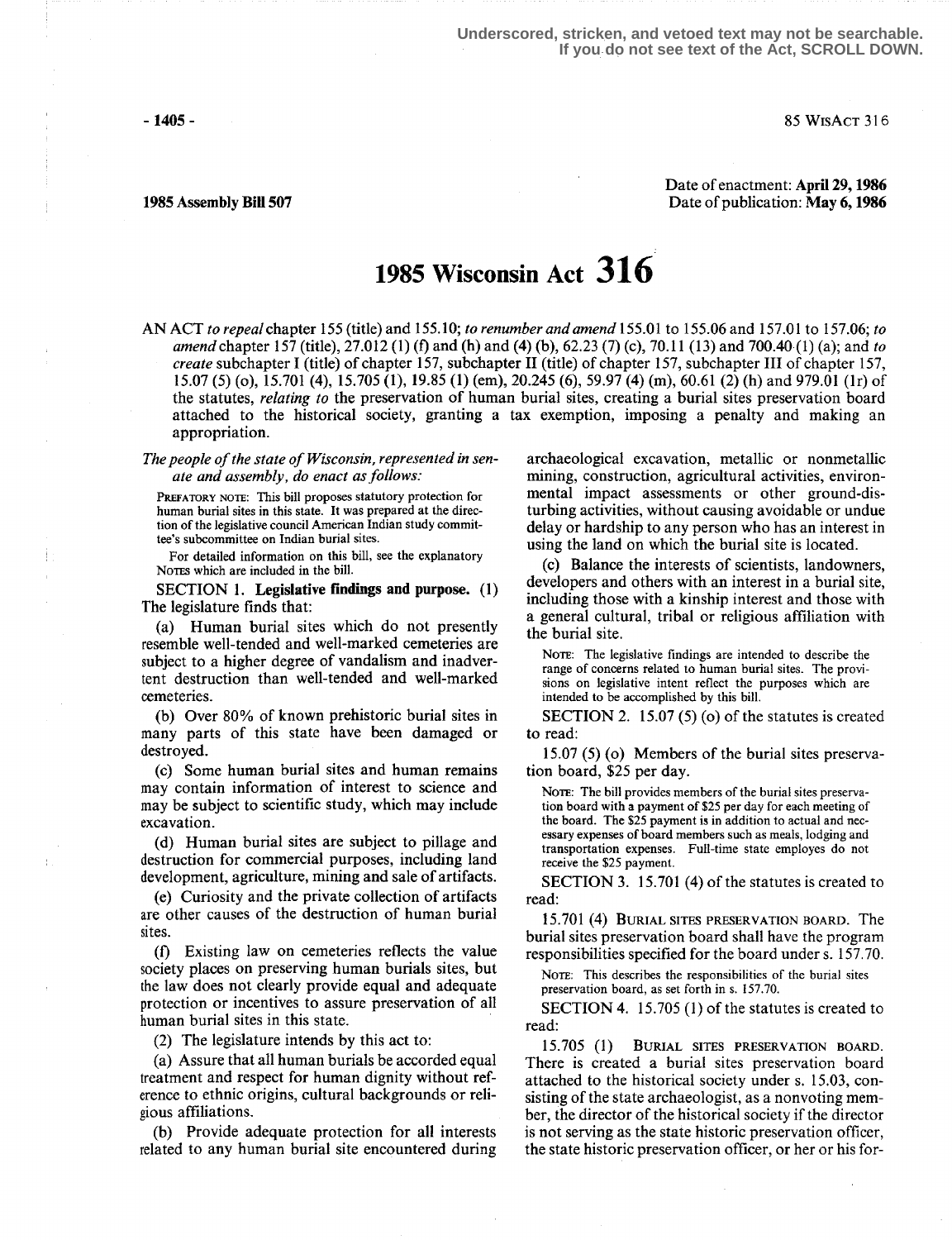$- 1405 - 85 W is ACT 316$ 

Date of enactment: April 29,1986 1985 Assembly Bill 507 Date of publication: May 6,1986

# 1985 Wisconsin Act 316

AN ACT to repeal chapter 155 (title) and 155.10; to renumber and amend 155.01 to 155.06 and 157.01 to 157.06; to amend chapter 157 (title), 27.012 (1) (f) and (h) and (4) (b), 62.23 (7) (c), 70.11 (13) and 700.40 (1) (a); and to create subchapter I (title) of chapter 157, subchapter II (title) of chapter 157, subchapter III of chapter 157, 15 .07 (5) (o), 15.701 (4), 15 .705 (1), 19.85 (1) (em), 20245 (6), 59.97 (4) (m), 60.61 (2) (h) and 979.01 (1r) of the statutes, relating to the preservation of human burial sites, creating a burial sites preservation board attached to the historical society, granting a tax exemption, imposing a penalty and making an appropriation.

The people of the state of Wisconsin, represented in senate and assembly, do enact as follows:

PREFATORY NOTE: This bill proposes statutory protection for human burial sites in this state. It was prepared at the direction of the legislative council American Indian study committee's subcommittee on Indian burial sites.

For detailed information on this bill, see the explanatory Notes which are included in the bill.

SECTION 1. Legislative findings and purpose.  $(1)$ The legislature finds that:

(a) Human burial sites which do not presently resemble well-tended and well-marked cemeteries are subject to a higher degree of vandalism and inadvertent destruction than well-tended and well-marked cemeteries .

(b) Over 80% of known prehistoric burial sites in many parts of this state have been damaged or destroyed.

(c) Some human burial sites and human remains may contain information of interest to science and may be subject to scientific study, which may include excavation.

(d) Human burial sites are subject to pillage and destruction for commercial purposes, including land development, agriculture, mining and sale of artifacts.

(e) Curiosity and the private collection of artifacts are other causes of the destruction of human burial sites.

(f) Existing law on cemeteries reflects the value society places on preserving human burials sites, but the law does not clearly provide equal and adequate protection or incentives to assure preservation of all human burial sites in this state.

(2) The legislature intends by this act to:

(a) Assure that all human burials be accorded equal treatment and respect for human dignity without reference to ethnic origins, cultural backgrounds or religious affiliations .

(b) Provide adequate protection for all interests related to any human burial site encountered during archaeological excavation, metallic or nonmetallic mining, construction, agricultural activities, environmental impact assessments or other ground-disturbing activities, without causing avoidable or undue delay or hardship to any person who has an interest in using the land on which the burial site is located.

(c) Balance the interests of scientists, landowners, developers and others with an interest in a burial site, including those with a kinship interest and those with a general cultural, tribal or religious affiliation with the burial site.

NOTE: The legislative findings are intended to describe the range of concerns related to human burial sites. The provisions on legislative intent reflect the purposes which are intended to be accomplished by this bill.

SECTION 2. 15.07  $(5)$  (o) of the statutes is created to read:

<sup>15</sup> .07 (5) (o) Members of the burial sites preservation board, \$25 per day.

NOTE: The bill provides members of the burial sites preservation board with a payment of \$25 per day for each meeting of the board. The \$25 payment is in addition to actual and necessary expenses of board members such as meals, lodging and transportation expenses . Full-time state employes do not receive the \$25 payment.

SECTION 3. 15.701 (4) of the statutes is created to read:

15.701 (4) BURIAL SITES PRESERVATION BOARD. The burial sites preservation board shall have the program responsibilities specified for the board under s. 157.70.

NOTE: This describes the responsibilities of the burial sites preservation board, as set forth in s. 157.70.

SECTION 4. 15.705 (1) of the statutes is created to read:

15 .705 (I) BURIAL SITES PRESERVATION BOARD. There is created a burial sites preservation board attached to the historical society under s. 15 .03, consisting of the state archaeologist, as a nonvoting member, the director of the historical society if the director is not serving as the state historic preservation officer, the state historic preservation officer, or her or his for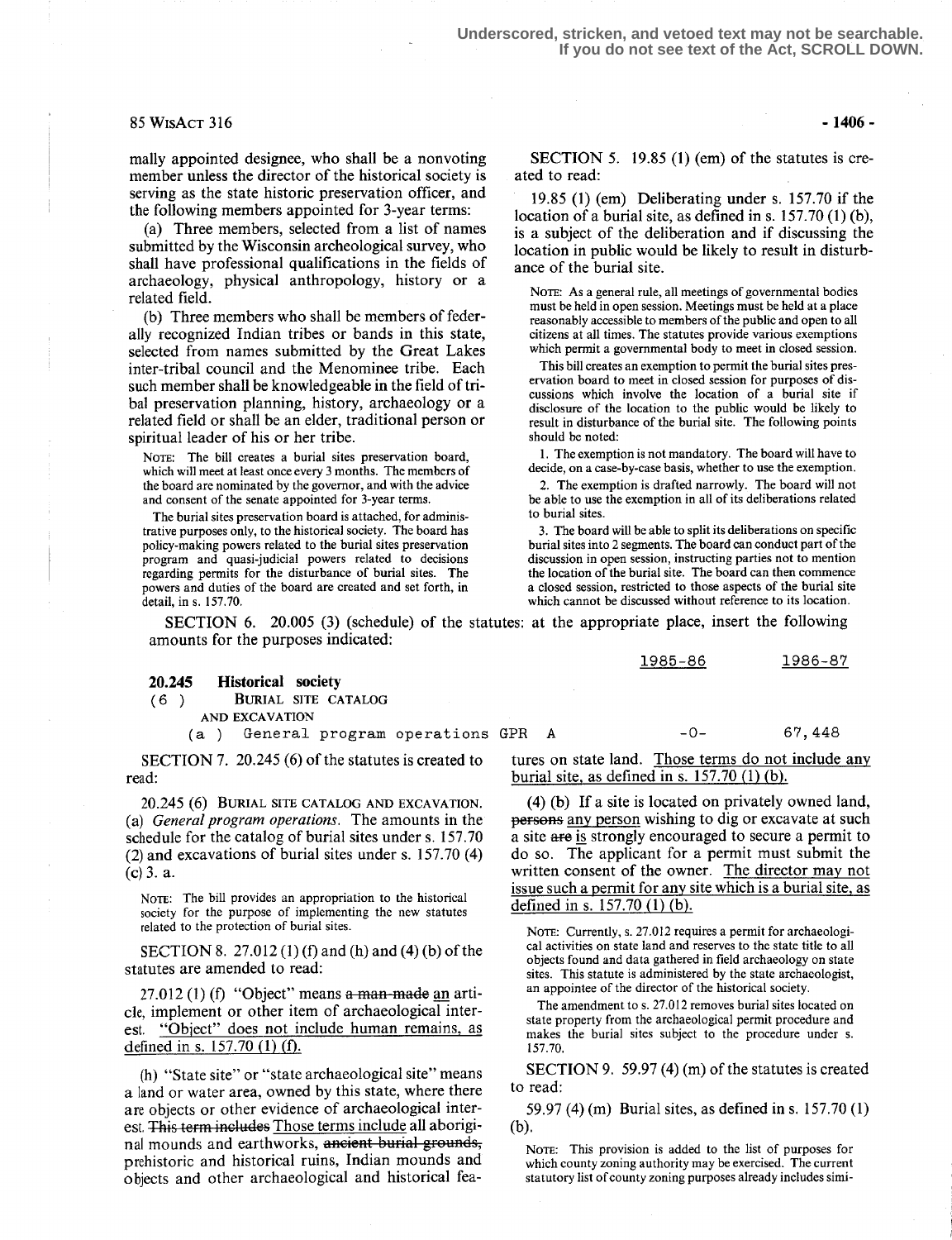**Underscored, stricken, and vetoed text may not be searchable. If you do not see text of the Act, SCROLL DOWN.**

### $85 W$ ISACT 316 - 1406 -

mally appointed designee, who shall be a nonvoting member unless the director of the historical society is serving as the state historic preservation officer, and the following members appointed for 3-year terms:

(a) Three members, selected from a list of names submitted by the Wisconsin archeological survey, who shall have professional qualifications in the fields of archaeology, physical anthropology, history or a related field.

(b) Three members who shall be members of federally recognized Indian tribes or bands in this state, selected from names submitted by the Great Lakes inter-tribal council and the Menominee tribe. Each such member shall be knowledgeable in the field of tribal preservation planning, history, archaeology or a related field or shall be an elder, traditional person or spiritual leader of his or her tribe.

NorE: The bill creates a burial sites preservation board, which will meet at least once every 3 months. The members of the board are nominated by the governor, and with the advice and consent of the senate appointed for 3-year terms.

The burial sites preservation board is attached, for administrative purposes only, to the historical society. The board has policy-making powers related to the burial sites preservation program and quasi-judicial powers related to decisions regarding permits for the disturbance of burial sites. The powers and duties of the board are created and set forth, in detail, in s. 157.70.

SECTION 5. 19.85 (1) (em) of the statutes is created to read:

19 .85 (1) (em) Deliberating under s. 157.70 if the location of a burial site, as defined in s.  $157.70(1)(b)$ , is a subject of the deliberation and if discussing the location in public would be likely to result in disturbance of the burial site.

NOTE: As a general rule, all meetings of governmental bodies must be held in open session . Meetings must be held at a place reasonably accessible to members of the public and open to all citizens at all times. The statutes provide various exemptions which permit a governmental body to meet in closed session.

This bill creates an exemption to permit the burial sites preservation board to meet in closed session for purposes of discussions which involve the location of a burial site if disclosure of the location to the public would be likely to result in disturbance of the burial site. The following points should be noted:

1. The exemption is not mandatory. The board will have to decide, on a case-by-case basis, whether to use the exemption.

2. The exemption is drafted narrowly. The board will not be able to use the exemption in all of its deliberations related to burial sites.

3. The board will be able to split its deliberations on specific burial sites into 2 segments . The board can conduct part of the discussion in open session, instructing parties not to mention the location of the burial site. The board can then commence a closed session, restricted to those aspects of the burial site which cannot be discussed without reference to its location.

1985-86 1986-87

SECTION 6. 20.005 (3) (schedule) of the statutes: at the appropriate place, insert the following amounts for the purposes indicated:

## 20.245 **Historical society**<br>(6) **BURIAL SITE CA**

BURIAL SITE CATALOG

AND EXCAVATION<br>(a) General

General program operations GPR A -0- 67,448

SECTION 7. 20.245 (6) of the statutes is created to read:

20.245 (G) BURIAL SITE CATALOG AND EXCAVATION. (a) General program operations. The amounts in the schedule for the catalog of burial sites under s. 157.70 (2) and excavations of burial sites under s. 157.70 (4)  $(c)$  3. a.

NoTe: The bill provides an appropriation to the historical society for the purpose of implementing the new statutes related to the protection of burial sites .

SECTION 8. 27 .012 (1) (f) and (h) and (4) (b) of the statutes are amended to read:

 $27.012$  (1) (f) "Object" means a man-made an article, implement or other item of archaeological interest. "Object" does not include human remains, as defined in s.  $157.70$  (1) (f).

(h) "State site" or "state archaeological site" means a land or water area, owned by this state, where there are objects or other evidence of archaeological interest. This term includes Those terms include all aboriginal mounds and earthworks, ancient burial grounds, prehistoric and historical ruins, Indian mounds and objects and other archaeological and historical fea-

tures on state land. Those terms do not include any burial site, as defined in s. 157.70 (1) (b).

(4) (b) If a site is located on privately owned land, persons any person wishing to dig or excavate at such a site afe is strongly encouraged to secure a permit to do so. The applicant for a permit must submit the written consent of the owner. The director may not issue such a permit for any site which is a burial site, as defined in s. 157.70 (1) (b).

NOTE: Currently, s. 27.012 requires a permit for archaeological activities on state land and reserves to the state title to all objects found and data gathered in field archaeology on state sites. This statute is administered by the state archaeologist, an appointee of the director of the historical society.

The amendment to s. 27.012 removes burial sites located on state property from the archaeological permit procedure and makes the burial sites subject to the procedure under s. 157 .70 .

SECTION 9. 59.97 (4) (m) of the statutes is created to read:

59 .97 (4) (m) Burial sites, as defined in s. 157.70 (1)  $(b)$ .

NOTE: This provision is added to the list of purposes for which county zoning authority may be exercised. The current statutory list of county zoning purposes already includes simi-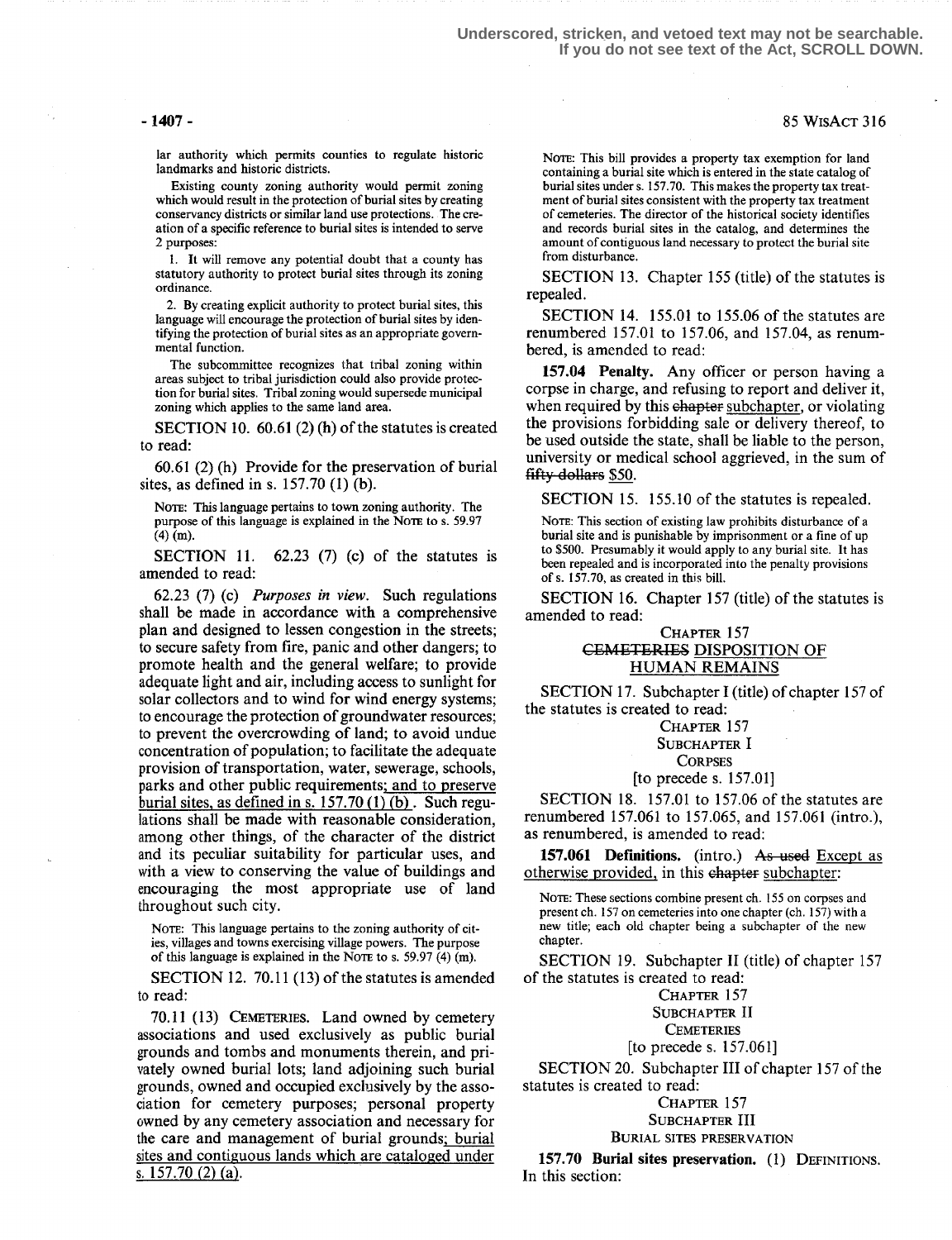**Underscored, stricken, and vetoed text may not be searchable. If you do not see text of the Act, SCROLL DOWN.**

### -1407- 85 WisAcT 316

lar authority which permits counties to regulate historic landmarks and historic districts .

Existing county zoning authority would permit zoning which would result in the protection of burial sites by creating conservancy districts or similar land use protections . The creation of a specific reference to burial sites is intended to serve 2 purposes :

1. It will remove any potential doubt that a county has statutory authority to protect burial sites through its zoning ordinance.

2. By creating explicit authority to protect burial sites, this language will encourage the protection of burial sites by identifying the protection of burial sites as an appropriate governmental function.

The subcommittee recognizes that tribal zoning within areas subject to tribal jurisdiction could also provide protection for burial sites. Tribal zoning would supersede municipal zoning which applies to the same land area.

SECTION 10. 60.61 (2) (h) of the statutes is created to read:

60.61 (2) (h) Provide for the preservation of burial sites, as defined in s. 157.70 (1) (b).

NOTE: This language pertains to town zoning authority. The purpose of this language is explained in the Nore to s. 59.97 (4) (m).

SECTION 11.  $62.23$  (7) (c) of the statutes is amended to read:

62.23 (7) (c) Purposes in view. Such regulations shall be made in accordance with a comprehensive plan and designed to lessen congestion in the streets; to secure safety from fire, panic and other dangers; to promote health and the general welfare; to provide adequate light and air, including access to sunlight for solar collectors and to wind for wind energy systems; to encourage the protection of groundwater resources; to prevent the overcrowding of land; to avoid undue concentration of population; to facilitate the adequate provision of transportation, water, sewerage, schools, parks and other public requirements; and to preserve burial sites, as defined in s. 157.70 (1) (b) . Such regulations shall be made with reasonable consideration, among other things, of the character of the district and its peculiar suitability for particular uses, and with a view to conserving the value of buildings and encouraging the most appropriate use of land throughout such city.

NOTE: This language pertains to the zoning authority of cities, villages and towns exercising village powers. The purpose of this language is explained in the Nore to s. 59.97  $(4)$  (m).

SECTION 12. 70.11 (13) of the statutes is amended to read:

70.11 (13) CEMETERIES . Land owned by cemetery associations and used exclusively as public burial grounds and tombs and monuments therein, and privately owned burial lots; land adjoining such burial grounds, owned and occupied exclusively by the association for cemetery purposes; personal property owned by any cemetery association and necessary for the care and management of burial grounds; burial sites and contiguous lands which are cataloged under s. 157 .70 (2) (a).

NOTE: This bill provides a property tax exemption for land containing a burial site which is entered in the state catalog of burial sites under s. 157.70. This makes the property tax treatment of burial sites consistent with the property tax treatment of cemeteries. The director of the historical society identifies and records burial sites in the catalog, and determines the amount of contiguous land necessary to protect the burial site from disturbance.

SECTION 13. Chapter 155 (title) of the statutes is repealed.

SECTION 14. 155.01 to 155.06 of the statutes are renumbered 157.01 to 157.06, and 157.04, as renumbered, is amended to read:

157.04 Penalty. Any officer or person having a corpse in charge, and refusing to report and deliver it, when required by this chapter subchapter, or violating the provisions forbidding sale or delivery thereof, to be used outside the state, shall be liable to the person, university or medical school aggrieved, in the sum of fifty dollars \$50.

SECTION 15. 155.10 of the statutes is repealed.

NOTE: This section of existing law prohibits disturbance of a burial site and is punishable by imprisonment or a fine of up to \$500. Presumably it would apply to any burial site. It has been repealed and is incorporated into the penalty provisions of s. 157.70, as created in this bill.

SECTION 16. Chapter 157 (title) of the statutes is amended to read:

### CHAPTER 157 CEMETERIES DISPOSITION OF HUMAN REMAINS

SECTION 17. Subchapter I (title) of chapter 157 of the statutes is created to read:

> CHAPTER 157 SUBCHAPTER I **CORPSES**

[to precedes . 157.01]

SECTION 18. 157.01 to 157.06 of the statutes are renumbered 157.061 to 157.065, and 157.061 (intro.), as renumbered, is amended to read:

157.061 Definitions. (intro.) As used Except as otherwise provided, in this chapter subchapter:

NOTE: These sections combine present ch. 155 on corpses and present ch. 157 on cemeteries into one chapter (ch. 157) with a new title; each old chapter being a subchapter of the new chapter .

SECTION 19. Subchapter II (title) of chapter 157 of the statutes is created to read:

CHAPTER 157

SUBCHAPTER II

**CEMETERIES** 

[to precedes. 157.061]

SECTION 20. Subchapter III of chapter 157 of the statutes is created to read:

### CHAPTER 157

SUBCHAPTER III

BURIAL SITES PRESERVATION

157.70 Burial sites preservation. (1) DEFINITIONS. In this section: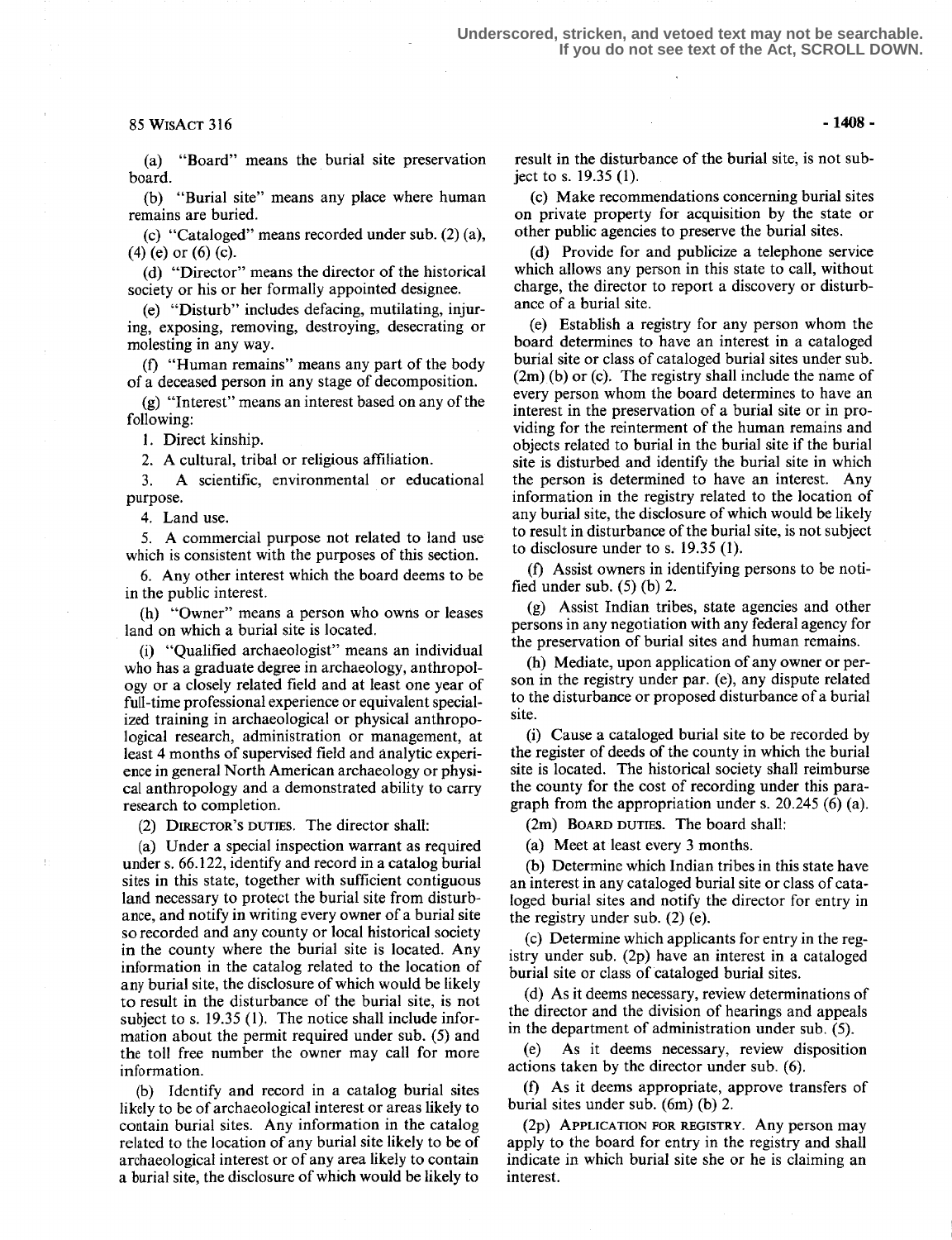### $85 W$ ISACT 316 - 1408 -

(a) "Board" means the burial site preservation board.

(b) "Burial site" means any place where human remains are buried.

(c) "Cataloged" means recorded under sub. (2) (a), (4) (e) or (6) (c).

(d) "Director" means the director of the historical society or his or her formally appointed designee.

(e) "Disturb" includes defacing, mutilating, injuring, exposing, removing, destroying, desecrating or molesting in any way.

(f) "Human remains" means any part of the body of a deceased person in any stage of decomposition.

(g) "Interest" means an interest based on any of the following:

1. Direct kinship.

2. A cultural, tribal or religious affiliation.<br>3. A scientific, environmental or educ

A scientific, environmental or educational purpose.

4. Land use.

Ŧ.

5. A commercial purpose not related to land use which is consistent with the purposes of this section.

6. Any other interest which the board deems to be in the public interest .

(h) "Owner" means a person who owns or leases land on which a burial site is located.

(i) "Qualified archaeologist" means an individual who has a graduate degree in archaeology, anthropology or a closely related field and at least one year of full-time professional experience or equivalent specialized training in archaeological or physical anthropological research, administration or management, at least 4 months of supervised field and analytic experience in general North American archaeology or physical anthropology and a demonstrated ability to carry research to completion.

(2) DIRECTOR'S DUTIES. The director shall:

(a) Under a special inspection warrant as required under s. 66.122, identify and record in a catalog burial sites in this state, together with sufficient contiguous land necessary to protect the burial site from disturbance, and notify in writing every owner of a burial site so recorded and any county or local historical society in the county where the burial site is located. Any information in the catalog related to the location of any burial site, the disclosure of which would be likely to result in the disturbance of the burial site, is not subject to s. 19.35 (1). The notice shall include information about the permit required under sub. (5) and the toll free number the owner may call for more information.

(b) Identify and record in a catalog burial sites likely to be of archaeological interest or areas likely to contain burial sites. Any information in the catalog related to the location of any burial site likely to be of archaeological interest or of any area likely to contain a burial site, the disclosure of which would be likely to

result in the disturbance of the burial site, is not subject to s. 19.35 (1) .

(c) Make recommendations concerning burial sites on private property for acquisition by the state or other public agencies to preserve the burial sites.

(d) Provide for and publicize a telephone service which allows any person in this state to call, without charge, the director to report a discovery or disturbance of a burial site.

(e) Establish a registry for any person whom the board determines to have an interest in a cataloged burial site or class of cataloged burial sites under sub. (2m) (b) or (c). The registry shall include the name of every person whom the board determines to have an interest in the preservation of a burial site or in providing for the reinterment of the human remains and objects related to burial in the burial site if the burial site is disturbed and identify the burial site in which the person is determined to have an interest. Any information in the registry related to the location of any burial site, the disclosure of which would be likely to result in disturbance of the burial site, is not subject to disclosure under to s. 19.35 (1).

(f) Assist owners in identifying persons to be notified under sub.  $(5)$  (b) 2.

(g) Assist Indian tribes, state agencies and other persons in any negotiation with any federal agency for the preservation of burial sites and human remains.

(h) Mediate, upon application of any owner or person in the registry under par. (e), any dispute related to the disturbance or proposed disturbance of a burial site.

(i) Cause a cataloged burial site to be recorded by the register of deeds of the county in which the burial site is located. The historical society shall reimburse the county for the cost of recording under this paragraph from the appropriation under s. 20.245 (6) (a).

(2m) BOARD DUTIES. The board shall:

(a) Meet at least every 3 months.

(b) Determine which Indian tribes in this state have an interest in any cataloged burial site or class of cataloged burial sites and notify the director for entry in the registry under sub. (2) (e).

(c) Determine which applicants for entry in the registry under sub. (2p) have an interest in a cataloged burial site or class of cataloged burial sites.

(d) As it deems necessary, review determinations of the director and the division of hearings and appeals in the department of administration under sub. (5).

As it deems necessary, review disposition actions taken by the director under sub. (6).

(f) As it deems appropriate, approve transfers of burial sites under sub. (6m) (b) 2.

(2p) APPLICATION FOR REGISTRY. Any person may apply to the board for entry in the registry and shall indicate in which burial site she or he is claiming an interest.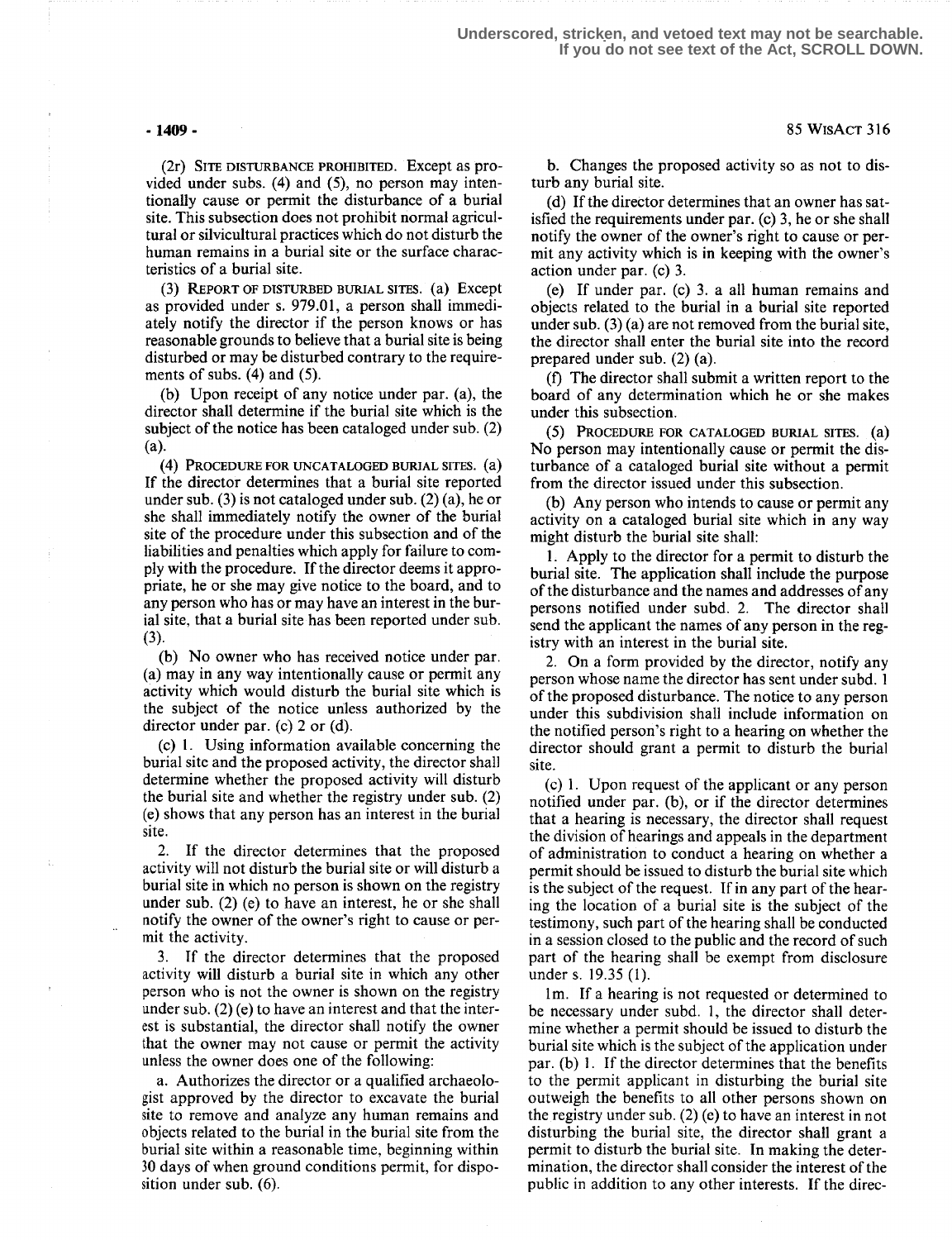### - 1409 -

(2r) SITE DISTURBANCE PROHIBITED. Except as provided under subs. (4) and (5), no person may intentionally cause or permit the disturbance of a burial site. This subsection does not prohibit normal agricultural or silvicultural practices which do not disturb the human remains in a burial site or the surface characteristics of a burial site.

REPORT OF DISTURBED BURIAL SITES. (a) Except as provided under s. 979.01, a person shall immediately notify the director if the person knows or has reasonable grounds to believe that a burial site is being disturbed or may be disturbed contrary to the requirements of subs.  $(4)$  and  $(5)$ .

(b) Upon receipt of any notice under par. (a), the director shall determine if the burial site which is the subject of the notice has been cataloged under sub. (2)  $(a)$ .

(4) PROCEDURE FOR UNCATALOGED BURIAL SITES. If the director determines that a burial site reported under sub. (3) is not cataloged under sub. (2) (a), he or she shall immediately notify the owner of the burial site of the procedure under this subsection and of the liabilities and penalties which apply for failure to comply with the procedure. If the director deems it appropriate, he or she may give notice to the board, and to any person who has or may have an interest in the burial site, that a burial site has been reported under sub.<br>(3).

(b) No owner who has received notice under par. (a) may in any way intentionally cause or permit any activity which would disturb the burial site which is the subject of the notice unless authorized by the director under par. (c) 2 or (d).

(c) 1. Using information available concerning the burial site and the proposed activity, the director shall determine whether the proposed activity will disturb the burial site and whether the registry under sub. (2) (e) shows that any person has an interest in the burial site .

2. If the director determines that the proposed activity will not disturb the burial site or will disturb a burial site in which no person is shown on the registry under sub. (2) (e) to have an interest, he or she shall notify the owner of the owner's right to cause or permit the activity.

If the director determines that the proposed activity will disturb a burial site in which any other person who is not the owner is shown on the registry under sub. (2) (e) to have an interest and that the interest is substantial, the director shall notify the owner that the owner may not cause or permit the activity unless the owner does one of the following:

a. Authorizes the director or a qualified archaeologist approved by the director to excavate the burial site to remove and analyze any human remains and objects related to the burial in the burial site from the burial site within a reasonable time, beginning within 30 days of when ground conditions permit, for disposition under sub. (6).

b. Changes the proposed activity so as not to disturb any burial site.

(d) If the director determines that an owner has satisfied the requirements under par. (c) 3, he or she shall notify the owner of the owner's right to cause or permit any activity which is in keeping with the owner's action under par. (c) 3 .

(e) If under par. (c) 3. a all human remains and objects related to the burial in a burial site reported under sub. (3) (a) are not removed from the burial site, the director shall enter the burial site into the record prepared under sub. (2) (a).

(f) The director shall submit a written report to the board of any determination which he or she makes under this subsection.

(S) PROCEDURE FOR CATALOGED BURIAL SITES. No person may intentionally cause or permit the disturbance of a cataloged burial site without a permit from the director issued under this subsection.

(b) Any person who intends to cause or permit any activity on a cataloged burial site which in any way might disturb the burial site shall:

<sup>1</sup> . Apply to the director for a permit to disturb the burial site. The application shall include the purpose of the disturbance and the names and addresses of any persons notified under subd. 2. The director shall send the applicant the names of any person in the registry with an interest in the burial site.

2. On a form provided by the director, notify any person whose name the director has sent under subd. 1 of the proposed disturbance. The notice to any person under this subdivision shall include information on the notified person's right to a hearing on whether the director should grant a permit to disturb the burial site.

(c) 1 . Upon request of the applicant or any person notified under par. (b), or if the director determines that a hearing is necessary, the director shall request the division of hearings and appeals in the department of administration to conduct a hearing on whether a permit should be issued to disturb the burial site which is the subject of the request. If in any part of the hearing the location of a burial site is the subject of the testimony, such part of the hearing shall be conducted in a session closed to the public and the record of such part of the hearing shall be exempt from disclosure under s. 19.35 (1).

1m. If a hearing is not requested or determined to be necessary under subd. 1, the director shall determine whether a permit should be issued to disturb the burial site which is the subject of the application under par. (b) 1. If the director determines that the benefits to the permit applicant in disturbing the burial site outweigh the benefits to all other persons shown on the registry under sub. (2) (e) to have an interest in not disturbing the burial site, the director shall grant a permit to disturb the burial site. In making the determination, the director shall consider the interest of the public in addition to any other interests. If the direc-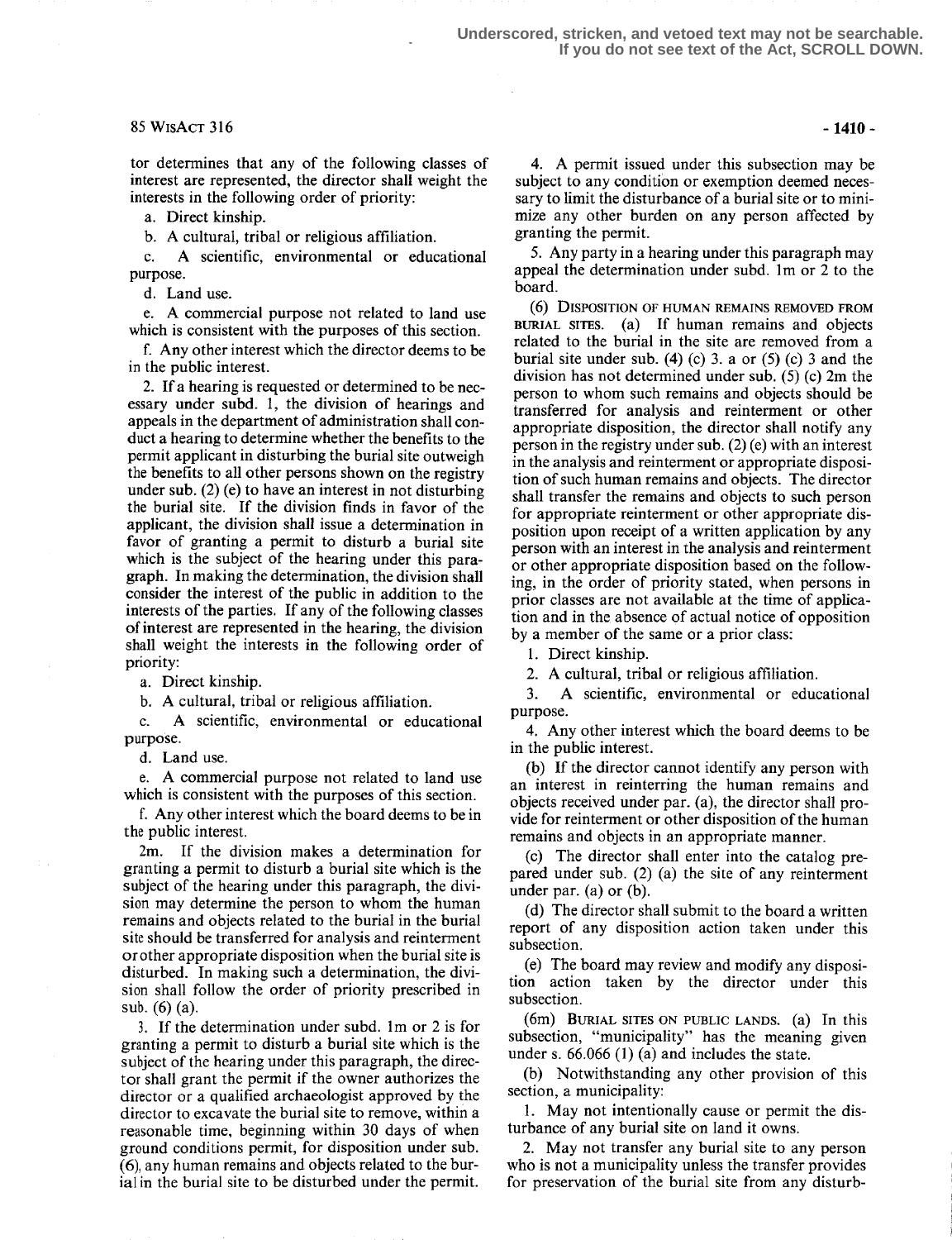### $85 WISACT 316$  -1410 -

tor determines that any of the following classes of interest are represented, the director shall weight the interests in the following order of priority:

a. Direct kinship.

b. A cultural, tribal or religious affiliation.<br>c. A scientific, environmental or educ

A scientific, environmental or educational purpose.

d. Land use.

e. A commercial purpose not related to land use which is consistent with the purposes of this section.

f. Any other interest which the director deems to be in the public interest.

2. If a hearing is requested or determined to be necessary under subd. 1, the division of hearings and appeals in the department of administration shall conduct a hearing to determine whether the benefits to the permit applicant in disturbing the burial site outweigh the benefits to all other persons shown on the registry under sub.  $(2)$  (e) to have an interest in not disturbing the burial site. If the division finds in favor of the applicant, the division shall issue a determination in favor of granting a permit to disturb a burial site which is the subject of the hearing under this paragraph. In making the determination, the division shall consider the interest of the public in addition to the interests of the parties. If any of the following classes of interest are represented in the hearing, the division shall weight the interests in the following order of priority:

a. Direct kinship.

b. A cultural, tribal or religious affiliation.<br>c. A scientific, environmental or educ

A scientific, environmental or educational purpose.

d. Land use.

e. A commercial purpose not related to land use which is consistent with the purposes of this section.

f. Any other interest which the board deems to be in the public interest.

2m. If the division makes a determination for granting a permit to disturb a burial site which is the subject of the hearing under this paragraph, the division may determine the person to whom the human remains and objects related to the burial in the burial site should be transferred for analysis and reinterment or other appropriate disposition when the burial site is disturbed. In making such a determination, the division shall follow the order of priority prescribed in sub. (6) (a).

<sup>3</sup> . If the determination under subd. lm or 2 is for granting a permit to disturb a burial site which is the subject of the hearing under this paragraph, the director shall grant the permit if the owner authorizes the director or a qualified archaeologist approved by the director to excavate the burial site to remove, within a reasonable time, beginning within 30 days of when ground conditions permit, for disposition under sub. (6), any human remains and objects related to the burial in the burial site to be disturbed under the permit.

4. A permit issued under this subsection may be subject to any condition or exemption deemed necessary to limit the disturbance of a burial site or to minimize any other burden on any person affected by granting the permit.

5. Any party in a hearing under this paragraph may appeal the determination under subd. lm or 2 to the board.

(6) DISPOSITION OF HUMAN REMAINS REMOVED FROM BURIAL sites. (a) If human remains and objects related to the burial in the site are removed from a burial site under sub.  $(4)$  (c) 3. a or  $(5)$  (c) 3 and the division has not determined under sub. (5) (c) 2m the person to whom such remains and objects should be transferred for analysis and reinterment or other appropriate disposition, the director shall notify any person in the registry under sub. (2) (e) with an interest in the analysis and reinterment or appropriate disposition of such human remains and objects. The director shall transfer the remains and objects to such person for appropriate reinterment or other appropriate disposition upon receipt of a written application by any person with an interest in the analysis and reinterment or other appropriate disposition based on the following, in the order of priority stated, when persons in prior classes are not available at the time of application and in the absence of actual notice of opposition by a member of the same or a prior class:

1. Direct kinship.

2. A cultural, tribal or religious affiliation.<br>3. A scientific, environmental or educ

A scientific, environmental or educational purpose.

4. Any other interest which the board deems to be in the public interest.

(b) If the director cannot identify any person with an interest in reinterring the human remains and objects received under par. (a), the director shall provide for reinterment or other disposition of the human remains and objects in an appropriate manner.

(c) The director shall enter into the catalog prepared under sub. (2) (a) the site of any reinterment under par. (a) or  $(b)$ .

(d) The director shall submit to the board a written report of any disposition action taken under this subsection.

(e) The board may review and modify any disposition action taken by the director under this subsection.

(6m) BURIAL SITES ON PUBLIC LANDS. (a) In this subsection, "municipality" has the meaning given under s. 66.066 (1) (a) and includes the state.

(b) Notwithstanding any other provision of this section, a municipality:

1. May not intentionally cause or permit the disturbance of any burial site on land it owns.

2. May not transfer any burial site to any person who is not a municipality unless the transfer provides for preservation of the burial site from any disturb-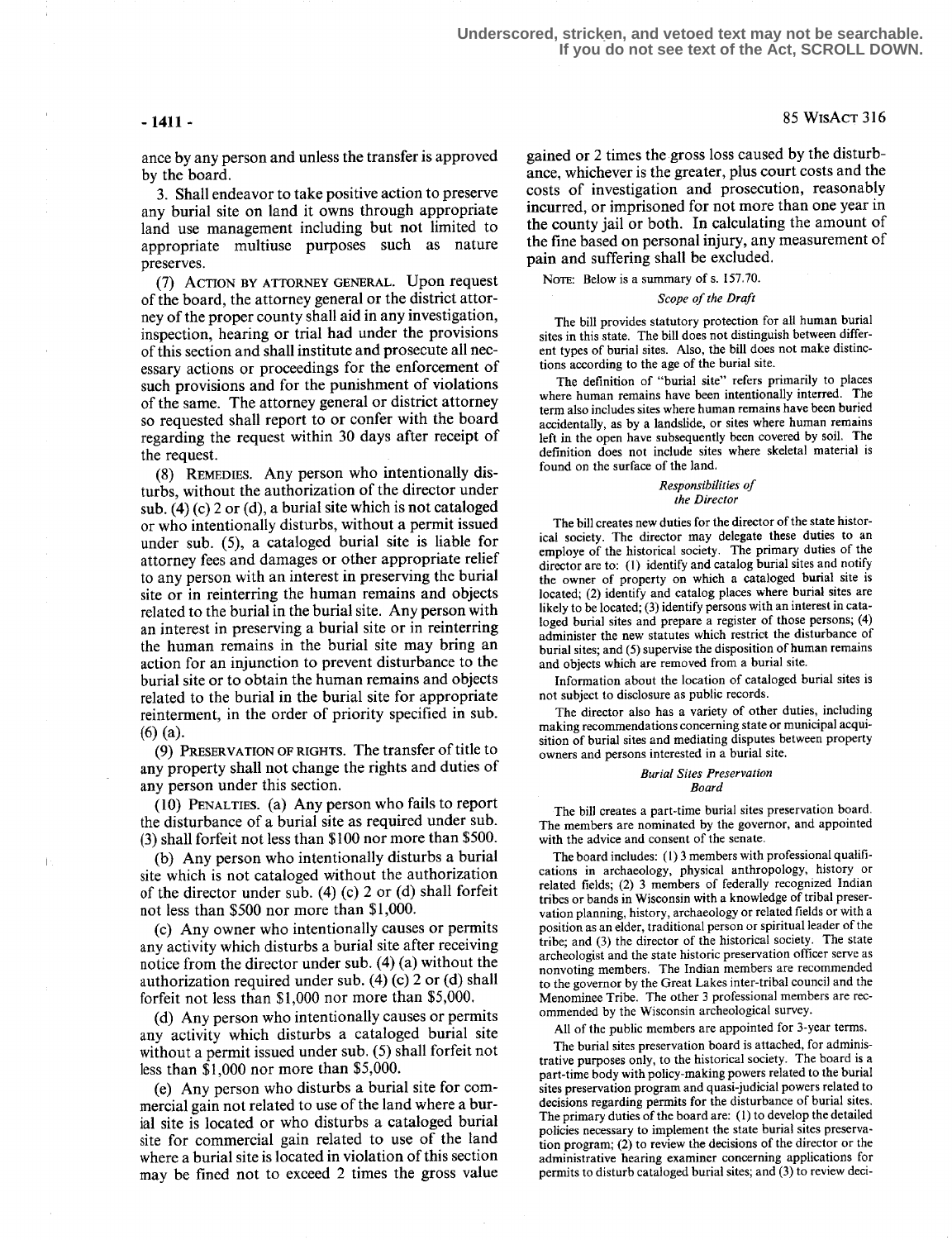$\mathbf{I}$ 

ance by any person and unless the transfer is approved by the board.

3. Shall endeavor to take positive action to preserve any burial site on land it owns through appropriate land use management including but not limited to appropriate multiuse purposes such as nature preserves.

(7) ACTION BY ATTORNEY GENERAL. Upon request of the board, the attorney general or the district attorney of the proper county shall aid in any investigation, inspection, hearing or trial had under the provisions of this section and shall institute and prosecute all necessary actions or proceedings for the enforcement of such provisions and for the punishment of violations of the same. The attorney general or district attorney so requested shall report to or confer with the board regarding the request within 30 days after receipt of the request.

(8) REMEDIES. Any person who intentionally disturbs, without the authorization of the director under sub.  $(4)$  (c) 2 or (d), a burial site which is not cataloged or who intentionally disturbs, without a permit issued under sub. (5), a cataloged burial site is liable for attorney fees and damages or other appropriate relief to any person with an interest in preserving the burial site or in reinterring the human remains and objects related to the burial in the burial site. Any person with an interest in preserving a burial site or in reinterring the human remains in the burial site may bring an action for an injunction to prevent disturbance to the burial site or to obtain the human remains and objects related to the burial in the burial site for appropriate reinterment, in the order of priority specified in sub. (6) (a).

(9) PRESERVATION OF RIGHTS. The transfer of title i0 any property shall not change the rights and duties of any person under this section.

 $(10)$  PENALTIES.  $(a)$  Any person who fails to report the disturbance of a burial site as required under sub. (3) shall forfeit not less than \$100 nor more than \$500.

(b) Any person who intentionally disturbs a burial site which is not cataloged without the authorization of the director under sub. (4) (c) 2 or (d) shall forfeit not less than \$500 nor more than \$1,000.

(c) Any owner who intentionally causes or permits any activity which disturbs a burial site after receiving notice from the director under sub. (4) (a) without the authorization required under sub. (4) (c) 2 or (d) shall forfeit not less than \$1,000 nor more than \$5,000.

(d) Any person who intentionally causes or permits any activity which disturbs a cataloged burial site without a permit issued under sub. (5) shall forfeit not less than \$1,000 nor more than \$5,000.

(e) Any person who disturbs a burial site for commercial gain not related to use of the land where a burial site is located or who disturbs a cataloged burial site for commercial gain related to use of the land where a burial site is located in violation of this section may be fined not to exceed 2 times the gross value

gained or 2 times the gross loss caused by the disturbance, whichever is the greater, plus court costs and the costs of investigation and prosecution, reasonably incurred, or imprisoned for not more than one year in the county jail or both. In calculating the amount of the fine based on personal injury, any measurement of pain and suffering shall be excluded.

NOTE: Below is a summary of s. 157.70.

### Scope of the Draft

The bill provides statutory protection for all human burial sites in this state. The bill does not distinguish between different types of burial sites. Also, the bill does not make distinctions according to the age of the burial site.

The definition of "burial site" refers primarily to places where human remains have been intentionally interred. The term also includes sites where human remains have been buried accidentally, as by a landslide, or sites where human remains left in the open have subsequently been covered by soil . The definition does not include sites where skeletal material is found on the surface of the land.

### Responsibilities of the Director

The bill creates new duties for the director of the state historical society. The director may delegate these duties to an employe of the historical society. The primary duties of the director are to: (1) identify and catalog burial sites and notify the owner of property on which a cataloged burial site is located; (2) identify and catalog places where burial sites are likely to be located;  $(3)$  identify persons with an interest in cataloged burial sites and prepare a register of those persons; (4) administer the new statutes which restrict the disturbance of burial sites; and (5) supervise the disposition of human remains and objects which are removed from a burial site

Information about the location of cataloged burial sites is not subject to disclosure as public records .

The director also has a variety of other duties, including making recommendations concerning state or municipal acquisition of burial sites and mediating disputes between property owners and persons interested in a burial site.

#### Burial Sites Preservation Board

The bill creates a part-time burial sites preservation board. The members are nominated by the governor, and appointed with the advice and consent of the senate.

The board includes: (1) 3 members with professional qualifications in archaeology, physical anthropology, history or related fields; (2) 3 members of federally recognized Indian tribes or bands in Wisconsin with a knowledge of tribal preservation planning, history, archaeology or related fields or with a position as an elder, traditional person or spiritual leader of the tribe; and (3) the director of the historical society. The state archeologist and the state historic preservation officer serve as nonvoting members. The Indian members are recommended to the governor by the Great Lakes inter-tribal council and the Menominee Tribe. The other 3 professional members are recommended by the Wisconsin archeological survey.

All of the public members are appointed for 3-year terms.

The burial sites preservation board is attached, for administrative purposes only, to the historical society. The board is a part-time body with policy-making powers related to the burial sites preservation program and quasi-judicial powers related to decisions regarding permits for the disturbance of burial sites. The primary duties of the board are: (1) to develop the detailed policies necessary to implement the state burial sites preservation program; (2) to review the decisions of the director or the administrative hearing examiner concerning applications for permits to disturb cataloged burial sites; and (3) to review deci-

## -1411 - 85 WisAcT 316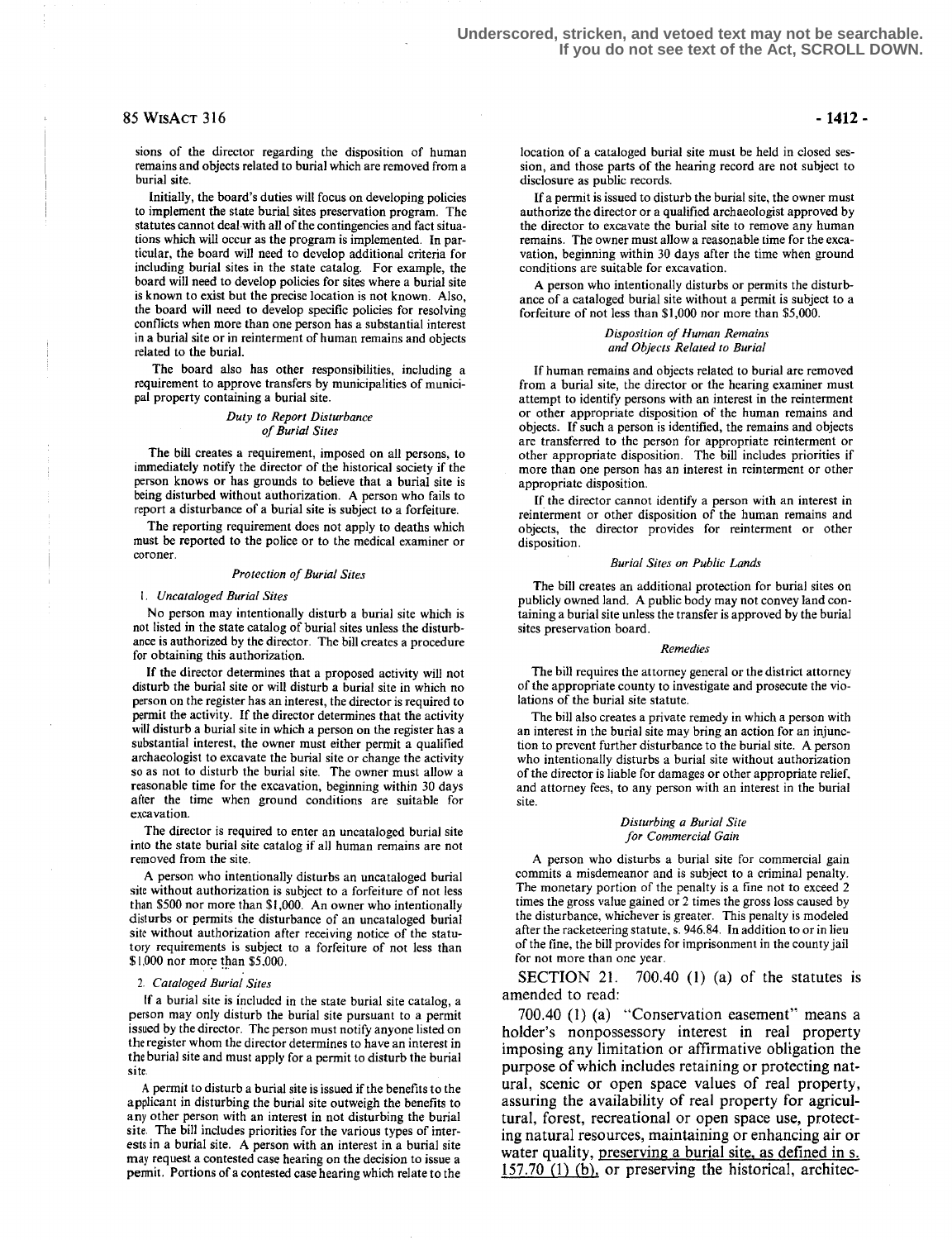### 85 WtsAcT 316

sions of the director regarding the disposition of human remains and objects related to burial which are removed from a burial site.

Initially, the board's duties will focus on developing policies to implement the state burial sites preservation program. The statutes cannot deal with all of the contingencies and fact situations which will occur as the program is implemented. In particular, the board will need to develop additional criteria for including burial sites in the state catalog. For example, the board will need to develop policies for sites where a burial site is known to exist but the precise location is not known. Also, the board will need to develop specific policies for resolving conflicts when more than one person has a substantial interest in a burial site or in reinterment of human remains and objects related to the burial.

The board also has other responsibilities, including a requirement to approve transfers by municipalities of municipal property containing a burial site.

### Duty to Report Disturbance of Burial Sites

The bill creates a requirement, imposed on all persons, to immediately notify the director of the historical society if the person knows or has grounds to believe that a burial site is being disturbed without authorization . A person who fails to report a disturbance of a burial site is subject to a forfeiture.

The reporting requirement does not apply to deaths which must be reported to the police or to the medical examiner or coroner .

#### Protection of Burial Sites

### 1. Uncataloged Burial Sites

No person may intentionally disturb a burial site which is not listed in the state catalog of burial sites unless the disturbance is authorized by the director. The bill creates a procedure for obtaining this authorization.

If the director determines that a proposed activity will not disturb the burial site or will disturb a burial site in which no person on the register has an interest, the director is required to permit the activity. If the director determines that the activity will disturb a burial site in which a person on the register has a substantial interest, the owner must either permit a qualified archaeologist to excavate the burial site or change the activity so as not to disturb the burial site. The owner must allow a reasonable time for the excavation, beginning within 30 days after the time when ground conditions are suitable for excavation.

The director is required to enter an uncataloged burial site into the state burial site catalog if all human remains are not removed from the site.

A person who intentionally disturbs an uncataloged burial site without authorization is subject to a forfeiture of not less than \$500 nor more than \$1,000. An owner who intentionally disturbs or permits the disturbance of an uncataloged burial site without authorization after receiving notice of the statutory requirements is subject to a forfeiture of not less than \$ 1,000 nor more than \$5,000 .

### <sup>2</sup> . Cataloged Burial Sites

[f a burial site is included in the state burial site catalog, a person may only disturb the burial site pursuant to a permit issued by the director. The person must notify anyone listed on the register whom the director determines to have an interest in the burial site and must apply for a permit to disturb the burial site.

A permit to disturb a burial site is issued if the benefits to the applicant in disturbing the burial site outweigh the benefits to any other person with an interest in not disturbing the burial site . The bill includes priorities for the various types of interests in a burial site . A person with an interest in a burial site may request a contested case hearing on the decision to issue a permit. Portions of a contested case hearing which relate to the location of a cataloged burial site must be held in closed session, and those parts of the hearing record are not subject to disclosure as public records.

If a permit is issued to disturb the burial site, the owner must authorize the director or a qualified archaeologist approved by the director to excavate the burial site to remove any human remains. The owner must allow a reasonable time for the excavation, beginning within 30 days after the time when ground conditions are suitable for excavation.

A person who intentionally disturbs or permits the disturbance of a cataloged burial site without a permit is subject to a forfeiture of not less than \$1,000 nor more than \$5,000.

### Disposition of Human Remains and Objects Related ro Burial

If human remains and objects related to burial are removed from a burial site, the director or the hearing examiner must attempt to identify persons with an interest in the reinterment or other appropriate disposition of the human remains and objects . If such a person is identified, the remains and objects are transferred to the person for appropriate reinterment or other appropriate disposition. The bill includes priorities if more than one person has an interest in reinterment or other appropriate disposition.

If the director cannot identify a person with an interest in reinterment or other disposition of the human remains and objects, the director provides for reinterment or other disposition.

#### Burial Sites an Public Lands

The bill creates an additional protection for burial sites on publicly owned land . A public body may not convey land containing a burial site unless the transfer is approved by the burial sites preservation board.

#### Remedies

The bill requires the attorney general or the district attorney of the appropriate county to investigate and prosecute the violations of the burial site statute.

The bill also creates a private remedy in which a person with an interest in the burial site may bring an action for an injunction to prevent further disturbance to the burial site . A person who intentionally disturbs a burial site without authorization of the director is liable for damages or other appropriate relief, and attorney fees, to any person with an interest in the burial site .

#### Disturbing a Burial Site for Commercial Gain

A person who disturbs a burial site for commercial gain commits a misdemeanor and is subject to a criminal penalty. The monetary portion of the penalty is a fine not to exceed 2 times the gross value gained or 2 times the gross loss caused by the disturbance, whichever is greater. This penalty is modeled after the racketeering statute, s. 946.84. In addition to or in lieu of the fine, the bill provides for imprisonment in the county jail for not more than one year.

SECTION 21.  $700.40$  (1) (a) of the statutes is amended to read:

700.40 (1) (a) "Conservation easement" means a holder's nonpossessory interest in real property imposing any limitation or affirmative obligation the purpose of which includes retaining or protecting natural, scenic or open space values of real property, assuring the availability of real property for agricultural, forest, recreational or open space use, protecting natural resources, maintaining or enhancing air or water quality, preserving a burial site, as defined in s. 157 .70 (1) (b), or preserving the historical, architec-

### -1412-